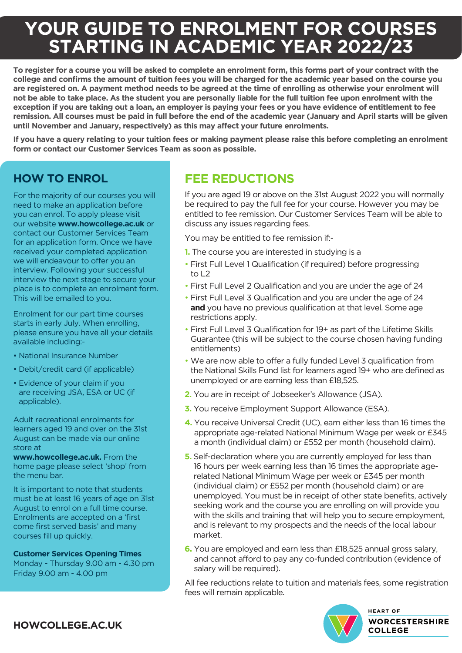# **YOUR GUIDE TO ENROLMENT FOR COURSES STARTING IN ACADEMIC YEAR 2022/23**

**To register for a course you will be asked to complete an enrolment form, this forms part of your contract with the college and confirms the amount of tuition fees you will be charged for the academic year based on the course you are registered on. A payment method needs to be agreed at the time of enrolling as otherwise your enrolment will not be able to take place. As the student you are personally liable for the full tuition fee upon enrolment with the exception if you are taking out a loan, an employer is paying your fees or you have evidence of entitlement to fee remission. All courses must be paid in full before the end of the academic year (January and April starts will be given until November and January, respectively) as this may affect your future enrolments.**

**If you have a query relating to your tuition fees or making payment please raise this before completing an enrolment form or contact our Customer Services Team as soon as possible.** 

# **HOW TO ENROL**

For the majority of our courses you will need to make an application before you can enrol. To apply please visit our website **www.howcollege.ac.uk** or contact our Customer Services Team for an application form. Once we have received your completed application we will endeavour to offer you an interview. Following your successful interview the next stage to secure your place is to complete an enrolment form. This will be emailed to you.

Enrolment for our part time courses starts in early July. When enrolling, please ensure you have all your details available including:-

- National Insurance Number
- Debit/credit card (if applicable)
- Evidence of your claim if you are receiving JSA, ESA or UC (if applicable).

Adult recreational enrolments for learners aged 19 and over on the 31st August can be made via our online store at

**www.howcollege.ac.uk.** From the home page please select 'shop' from the menu bar.

It is important to note that students must be at least 16 years of age on 31st August to enrol on a full time course. Enrolments are accepted on a 'first come first served basis' and many courses fill up quickly.

**Customer Services Opening Times**

Monday - Thursday 9.00 am - 4.30 pm Friday 9.00 am - 4.00 pm

# **FEE REDUCTIONS**

If you are aged 19 or above on the 31st August 2022 you will normally be required to pay the full fee for your course. However you may be entitled to fee remission. Our Customer Services Team will be able to discuss any issues regarding fees.

You may be entitled to fee remission if:-

- **1.** The course you are interested in studying is a
- First Full Level 1 Qualification (if required) before progressing to L2
- First Full Level 2 Qualification and you are under the age of 24
- First Full Level 3 Qualification and you are under the age of 24 **and** you have no previous qualification at that level. Some age restrictions apply.
- First Full Level 3 Qualification for 19+ as part of the Lifetime Skills Guarantee (this will be subject to the course chosen having funding entitlements)
- We are now able to offer a fully funded Level 3 qualification from the National Skills Fund list for learners aged 19+ who are defined as unemployed or are earning less than £18,525.
- **2.** You are in receipt of Jobseeker's Allowance (JSA).
- **3.** You receive Employment Support Allowance (ESA).
- **4.** You receive Universal Credit (UC), earn either less than 16 times the appropriate age-related National Minimum Wage per week or £345 a month (individual claim) or £552 per month (household claim).
- **5.** Self-declaration where you are currently employed for less than 16 hours per week earning less than 16 times the appropriate agerelated National Minimum Wage per week or £345 per month (individual claim) or £552 per month (household claim) or are unemployed. You must be in receipt of other state benefits, actively seeking work and the course you are enrolling on will provide you with the skills and training that will help you to secure employment, and is relevant to my prospects and the needs of the local labour market.
- **6.** You are employed and earn less than £18,525 annual gross salary, and cannot afford to pay any co-funded contribution (evidence of salary will be required).

All fee reductions relate to tuition and materials fees, some registration fees will remain applicable.



**HEART OF WORCESTERSHIRE COLLEGE** 

**HOWCOLLEGE.AC.UK**